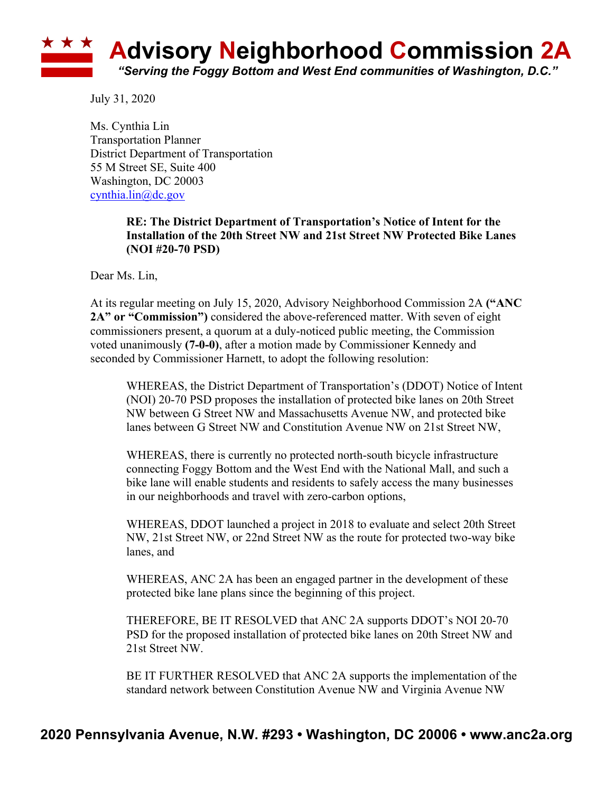

July 31, 2020

Ms. Cynthia Lin Transportation Planner District Department of Transportation 55 M Street SE, Suite 400 Washington, DC 20003 cynthia.lin@dc.gov

## **RE: The District Department of Transportation's Notice of Intent for the Installation of the 20th Street NW and 21st Street NW Protected Bike Lanes (NOI #20-70 PSD)**

Dear Ms. Lin,

At its regular meeting on July 15, 2020, Advisory Neighborhood Commission 2A **("ANC 2A" or "Commission")** considered the above-referenced matter. With seven of eight commissioners present, a quorum at a duly-noticed public meeting, the Commission voted unanimously **(7-0-0)**, after a motion made by Commissioner Kennedy and seconded by Commissioner Harnett, to adopt the following resolution:

WHEREAS, the District Department of Transportation's (DDOT) Notice of Intent (NOI) 20-70 PSD proposes the installation of protected bike lanes on 20th Street NW between G Street NW and Massachusetts Avenue NW, and protected bike lanes between G Street NW and Constitution Avenue NW on 21st Street NW,

WHEREAS, there is currently no protected north-south bicycle infrastructure connecting Foggy Bottom and the West End with the National Mall, and such a bike lane will enable students and residents to safely access the many businesses in our neighborhoods and travel with zero-carbon options,

WHEREAS, DDOT launched a project in 2018 to evaluate and select 20th Street NW, 21st Street NW, or 22nd Street NW as the route for protected two-way bike lanes, and

WHEREAS, ANC 2A has been an engaged partner in the development of these protected bike lane plans since the beginning of this project.

THEREFORE, BE IT RESOLVED that ANC 2A supports DDOT's NOI 20-70 PSD for the proposed installation of protected bike lanes on 20th Street NW and 21st Street NW.

BE IT FURTHER RESOLVED that ANC 2A supports the implementation of the standard network between Constitution Avenue NW and Virginia Avenue NW